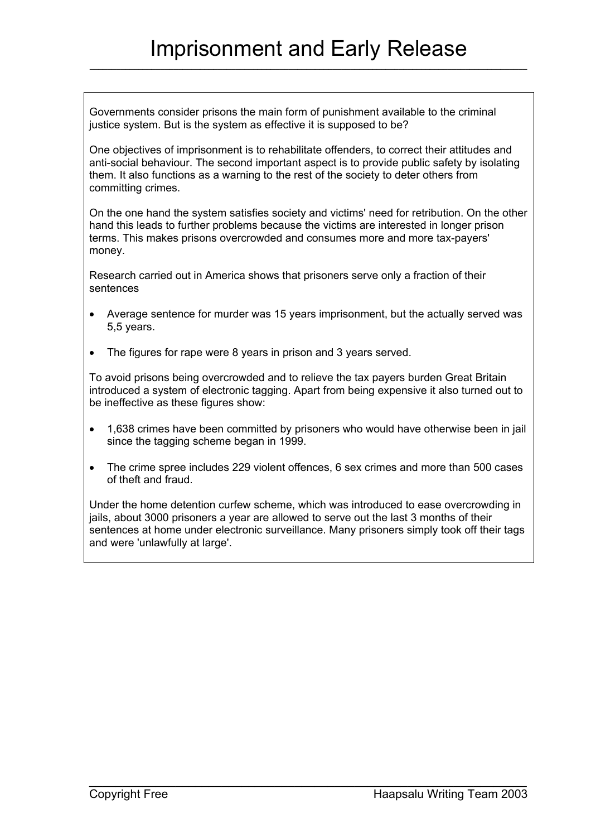Governments consider prisons the main form of punishment available to the criminal justice system. But is the system as effective it is supposed to be?

One objectives of imprisonment is to rehabilitate offenders, to correct their attitudes and anti-social behaviour. The second important aspect is to provide public safety by isolating them. It also functions as a warning to the rest of the society to deter others from committing crimes.

On the one hand the system satisfies society and victims' need for retribution. On the other hand this leads to further problems because the victims are interested in longer prison terms. This makes prisons overcrowded and consumes more and more tax-payers' money.

Research carried out in America shows that prisoners serve only a fraction of their sentences

- Average sentence for murder was 15 years imprisonment, but the actually served was 5,5 years.
- The figures for rape were 8 years in prison and 3 years served.

To avoid prisons being overcrowded and to relieve the tax payers burden Great Britain introduced a system of electronic tagging. Apart from being expensive it also turned out to be ineffective as these figures show:

- 1,638 crimes have been committed by prisoners who would have otherwise been in jail since the tagging scheme began in 1999.
- The crime spree includes 229 violent offences, 6 sex crimes and more than 500 cases of theft and fraud.

Under the home detention curfew scheme, which was introduced to ease overcrowding in jails, about 3000 prisoners a year are allowed to serve out the last 3 months of their sentences at home under electronic surveillance. Many prisoners simply took off their tags and were 'unlawfully at large'.

 $\_$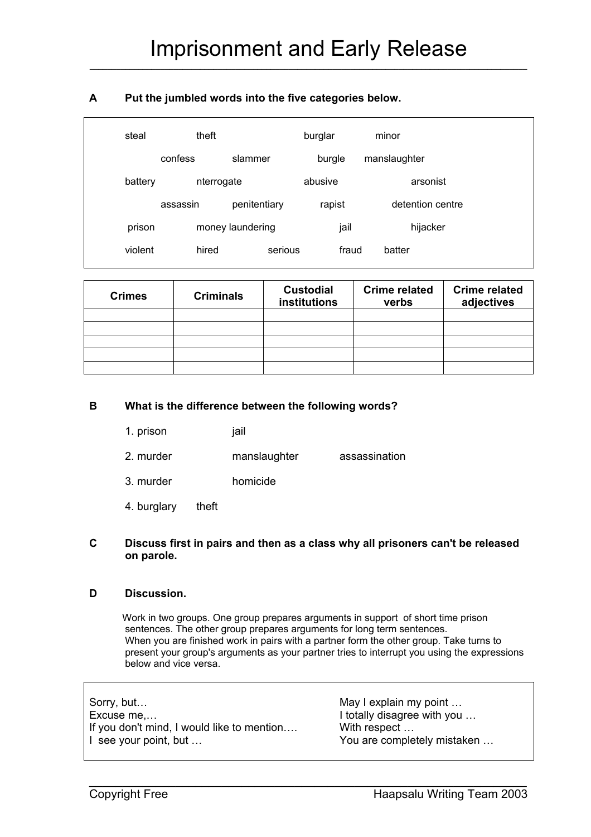# **A Put the jumbled words into the five categories below.**

| steal   | theft            |              | burglar | minor            |  |
|---------|------------------|--------------|---------|------------------|--|
|         | confess          | slammer      | burgle  | manslaughter     |  |
| battery | nterrogate       |              | abusive | arsonist         |  |
|         | assassin         | penitentiary | rapist  | detention centre |  |
| prison  | money laundering |              | jail    | hijacker         |  |
| violent | hired            | serious      | fraud   | batter           |  |

| <b>Crimes</b> | <b>Criminals</b> | <b>Custodial</b><br>institutions | <b>Crime related</b><br>verbs | <b>Crime related</b><br>adjectives |
|---------------|------------------|----------------------------------|-------------------------------|------------------------------------|
|               |                  |                                  |                               |                                    |
|               |                  |                                  |                               |                                    |
|               |                  |                                  |                               |                                    |
|               |                  |                                  |                               |                                    |
|               |                  |                                  |                               |                                    |

#### **B What is the difference between the following words?**

- 1. prison jail
- 2. murder manslaughter assassination
- 3. murder homicide
- 4. burglary theft

#### **C Discuss first in pairs and then as a class why all prisoners can't be released on parole.**

#### **D Discussion.**

 Work in two groups. One group prepares arguments in support of short time prison sentences. The other group prepares arguments for long term sentences. When you are finished work in pairs with a partner form the other group. Take turns to present your group's arguments as your partner tries to interrupt you using the expressions below and vice versa.

| Sorry, but                                 | May I explain my point      |
|--------------------------------------------|-----------------------------|
| Excuse me                                  | I totally disagree with you |
| If you don't mind, I would like to mention | With respect                |
| I see your point, but                      | You are completely mistaken |

 $\_$